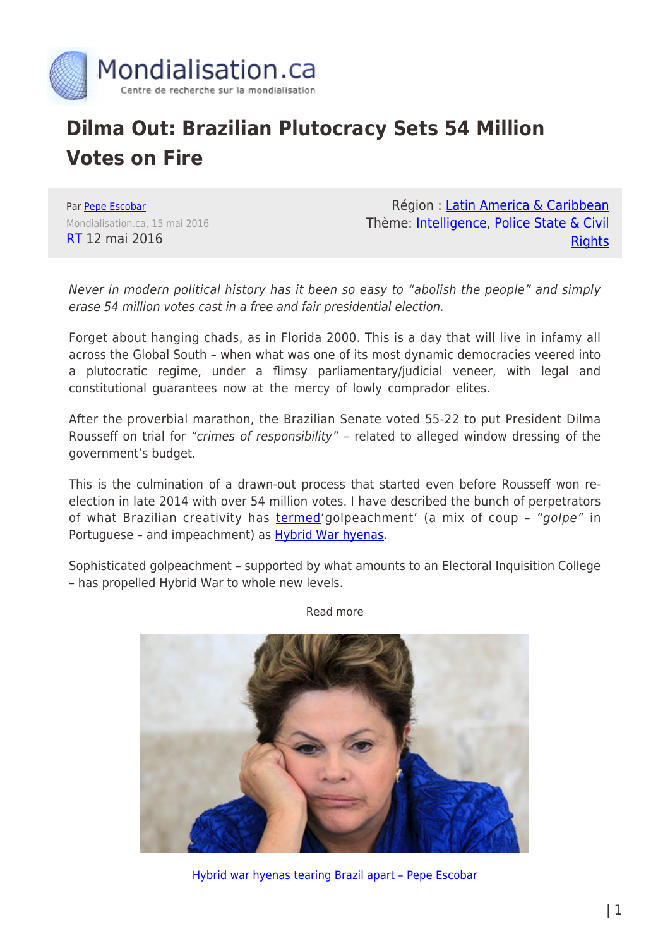

# **Dilma Out: Brazilian Plutocracy Sets 54 Million Votes on Fire**

Par [Pepe Escobar](https://www.mondialisation.ca/author/pepe-escobar) Mondialisation.ca, 15 mai 2016 [RT](https://www.rt.com/op-edge/342821-brazil-dilma-rousseff-impeachment/) 12 mai 2016

Région : [Latin America & Caribbean](https://www.mondialisation.ca/region/latin-america-caribbean) Thème: [Intelligence,](https://www.mondialisation.ca/theme/intelligence) [Police State & Civil](https://www.mondialisation.ca/theme/police-state-civil-rights) **[Rights](https://www.mondialisation.ca/theme/police-state-civil-rights)** 

Never in modern political history has it been so easy to "abolish the people" and simply erase 54 million votes cast in a free and fair presidential election.

Forget about hanging chads, as in Florida 2000. This is a day that will live in infamy all across the Global South – when what was one of its most dynamic democracies veered into a plutocratic regime, under a flimsy parliamentary/judicial veneer, with legal and constitutional guarantees now at the mercy of lowly comprador elites.

After the proverbial marathon, the Brazilian Senate voted 55-22 to put President Dilma Rousseff on trial for "crimes of responsibility" – related to alleged window dressing of the government's budget.

This is the culmination of a drawn-out process that started even before Rousseff won reelection in late 2014 with over 54 million votes. I have described the bunch of perpetrators of what Brazilian creativity has **[termed](http://www.strategic-culture.org/news/2016/04/30/brazils-i-golpeachment-i-the-1-solution.html)**'golpeachment' (a mix of coup - "golpe" in Portuguese - and impeachment) as **Hybrid War hyenas**.

Sophisticated golpeachment – supported by what amounts to an Electoral Inquisition College – has propelled Hybrid War to whole new levels.



Read more

[Hybrid war hyenas tearing Brazil apart – Pepe Escobar](https://www.rt.com/op-edge/340207-rousseff-brazil-impeachment-regime/)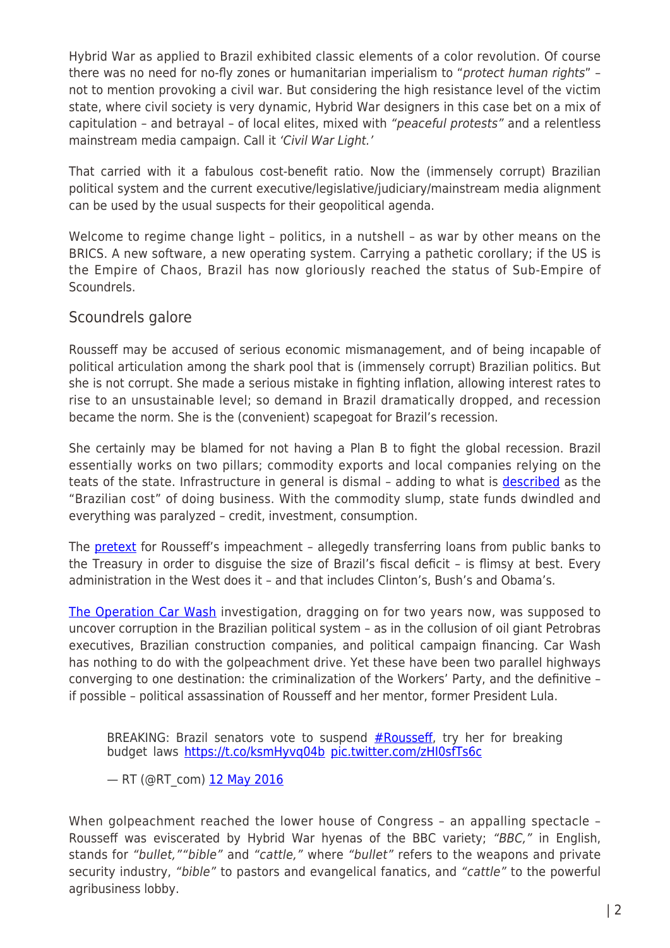Hybrid War as applied to Brazil exhibited classic elements of a color revolution. Of course there was no need for no-fly zones or humanitarian imperialism to "protect human rights" not to mention provoking a civil war. But considering the high resistance level of the victim state, where civil society is very dynamic, Hybrid War designers in this case bet on a mix of capitulation – and betrayal – of local elites, mixed with "peaceful protests" and a relentless mainstream media campaign. Call it 'Civil War Light.'

That carried with it a fabulous cost-benefit ratio. Now the (immensely corrupt) Brazilian political system and the current executive/legislative/judiciary/mainstream media alignment can be used by the usual suspects for their geopolitical agenda.

Welcome to regime change light – politics, in a nutshell – as war by other means on the BRICS. A new software, a new operating system. Carrying a pathetic corollary; if the US is the Empire of Chaos, Brazil has now gloriously reached the status of Sub-Empire of Scoundrels.

## Scoundrels galore

Rousseff may be accused of serious economic mismanagement, and of being incapable of political articulation among the shark pool that is (immensely corrupt) Brazilian politics. But she is not corrupt. She made a serious mistake in fighting inflation, allowing interest rates to rise to an unsustainable level; so demand in Brazil dramatically dropped, and recession became the norm. She is the (convenient) scapegoat for Brazil's recession.

She certainly may be blamed for not having a Plan B to fight the global recession. Brazil essentially works on two pillars; commodity exports and local companies relying on the teats of the state. Infrastructure in general is dismal - adding to what is [described](http://riotimesonline.com/brazil-news/rio-business/brazilian-companies-need-15-times-more-to-pay-taxes-with-bureaucracy/) as the "Brazilian cost" of doing business. With the commodity slump, state funds dwindled and everything was paralyzed – credit, investment, consumption.

The **pretext** for Rousseff's impeachment - allegedly transferring loans from public banks to the Treasury in order to disguise the size of Brazil's fiscal deficit – is flimsy at best. Every administration in the West does it – and that includes Clinton's, Bush's and Obama's.

[The Operation Car Wash](https://en.wikipedia.org/wiki/Operation_Car_Wash) investigation, dragging on for two years now, was supposed to uncover corruption in the Brazilian political system – as in the collusion of oil giant Petrobras executives, Brazilian construction companies, and political campaign financing. Car Wash has nothing to do with the golpeachment drive. Yet these have been two parallel highways converging to one destination: the criminalization of the Workers' Party, and the definitive – if possible – political assassination of Rousseff and her mentor, former President Lula.

BREAKING: Brazil senators vote to suspend  $#Rousseff$ , try her for breaking budget laws<https://t.co/ksmHyvq04b> [pic.twitter.com/zHI0sfTs6c](https://t.co/zHI0sfTs6c)

— RT (@RT\_com) [12 May 2016](https://twitter.com/RT_com/status/730694482627317760)

When golpeachment reached the lower house of Congress – an appalling spectacle – Rousseff was eviscerated by Hybrid War hyenas of the BBC variety; "BBC," in English, stands for "bullet,""bible" and "cattle," where "bullet" refers to the weapons and private security industry, "bible" to pastors and evangelical fanatics, and "cattle" to the powerful agribusiness lobby.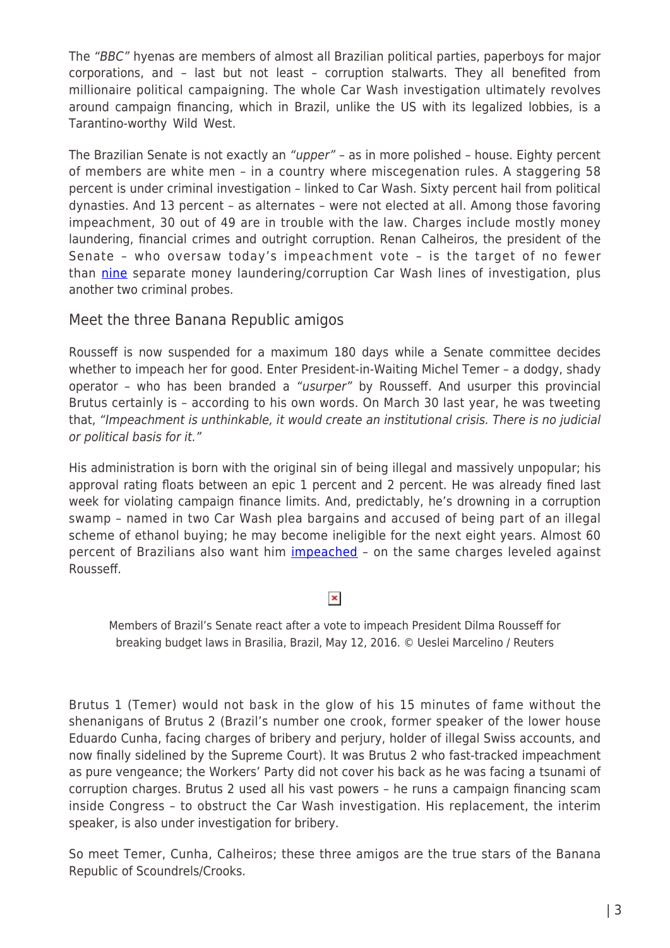The "BBC" hyenas are members of almost all Brazilian political parties, paperboys for major corporations, and – last but not least – corruption stalwarts. They all benefited from millionaire political campaigning. The whole Car Wash investigation ultimately revolves around campaign financing, which in Brazil, unlike the US with its legalized lobbies, is a Tarantino-worthy Wild West.

The Brazilian Senate is not exactly an "upper" - as in more polished - house. Eighty percent of members are white men – in a country where miscegenation rules. A staggering 58 percent is under criminal investigation – linked to Car Wash. Sixty percent hail from political dynasties. And 13 percent – as alternates – were not elected at all. Among those favoring impeachment, 30 out of 49 are in trouble with the law. Charges include mostly money laundering, financial crimes and outright corruption. Renan Calheiros, the president of the Senate – who oversaw today's impeachment vote – is the target of no fewer than [nine](http://www.brasilpost.com.br/2016/05/02/renan-impeachment-lava-jato_n_9774686.html) separate money laundering/corruption Car Wash lines of investigation, plus another two criminal probes.

Meet the three Banana Republic amigos

Rousseff is now suspended for a maximum 180 days while a Senate committee decides whether to impeach her for good. Enter President-in-Waiting Michel Temer – a dodgy, shady operator – who has been branded a "usurper" by Rousseff. And usurper this provincial Brutus certainly is – according to his own words. On March 30 last year, he was tweeting that, "Impeachment is unthinkable, it would create an institutional crisis. There is no judicial or political basis for it."

His administration is born with the original sin of being illegal and massively unpopular; his approval rating floats between an epic 1 percent and 2 percent. He was already fined last week for violating campaign finance limits. And, predictably, he's drowning in a corruption swamp – named in two Car Wash plea bargains and accused of being part of an illegal scheme of ethanol buying; he may become ineligible for the next eight years. Almost 60 percent of Brazilians also want him *[impeached](http://brasileiros.com.br/2016/04/datafolha-manifestantes-pelo-impeachment-tambem-querem-saida-de-temer/)* - on the same charges leveled against Rousseff.

## $\pmb{\times}$

Members of Brazil's Senate react after a vote to impeach President Dilma Rousseff for breaking budget laws in Brasilia, Brazil, May 12, 2016. © Ueslei Marcelino / Reuters

Brutus 1 (Temer) would not bask in the glow of his 15 minutes of fame without the shenanigans of Brutus 2 (Brazil's number one crook, former speaker of the lower house Eduardo Cunha, facing charges of bribery and perjury, holder of illegal Swiss accounts, and now finally sidelined by the Supreme Court). It was Brutus 2 who fast-tracked impeachment as pure vengeance; the Workers' Party did not cover his back as he was facing a tsunami of corruption charges. Brutus 2 used all his vast powers – he runs a campaign financing scam inside Congress – to obstruct the Car Wash investigation. His replacement, the interim speaker, is also under investigation for bribery.

So meet Temer, Cunha, Calheiros; these three amigos are the true stars of the Banana Republic of Scoundrels/Crooks.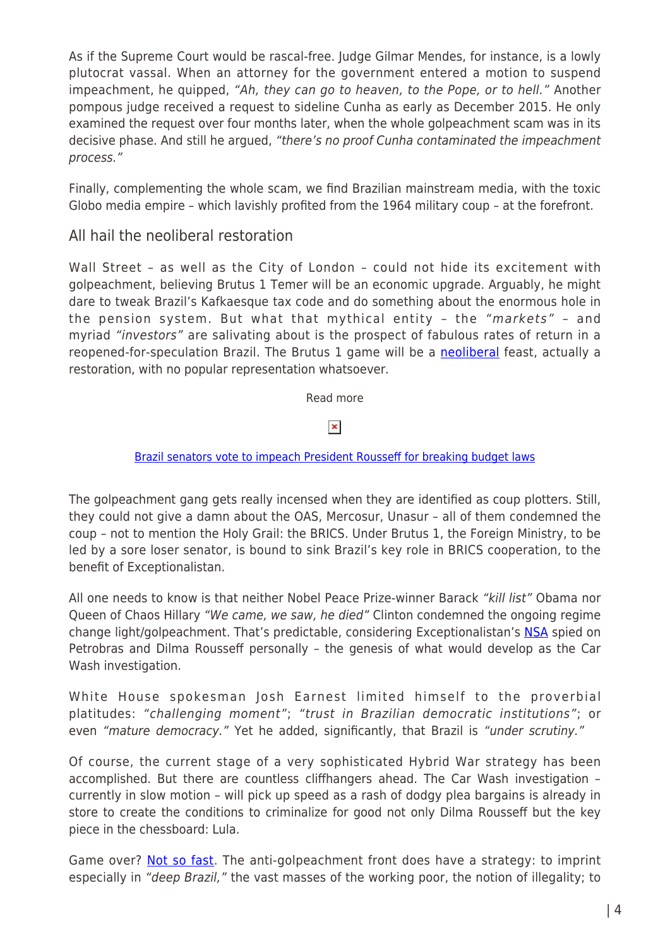As if the Supreme Court would be rascal-free. Judge Gilmar Mendes, for instance, is a lowly plutocrat vassal. When an attorney for the government entered a motion to suspend impeachment, he quipped, "Ah, they can go to heaven, to the Pope, or to hell." Another pompous judge received a request to sideline Cunha as early as December 2015. He only examined the request over four months later, when the whole golpeachment scam was in its decisive phase. And still he argued, "there's no proof Cunha contaminated the impeachment process."

Finally, complementing the whole scam, we find Brazilian mainstream media, with the toxic Globo media empire – which lavishly profited from the 1964 military coup – at the forefront.

## All hail the neoliberal restoration

Wall Street – as well as the City of London – could not hide its excitement with golpeachment, believing Brutus 1 Temer will be an economic upgrade. Arguably, he might dare to tweak Brazil's Kafkaesque tax code and do something about the enormous hole in the pension system. But what that mythical entity – the "markets" – and myriad "investors" are salivating about is the prospect of fabulous rates of return in a reopened-for-speculation Brazil. The Brutus 1 game will be a [neoliberal](https://theintercept.com/2016/05/11/brazils-democracy-to-suffer-grievous-blow-today-as-unelectable-corrupt-neoliberal-is-installed/) feast, actually a restoration, with no popular representation whatsoever.

Read more

#### $\pmb{\times}$

#### [Brazil senators vote to impeach President Rousseff for breaking budget laws](https://www.rt.com/news/342733-roussef-impeached-tried-budget/)

The golpeachment gang gets really incensed when they are identified as coup plotters. Still, they could not give a damn about the OAS, Mercosur, Unasur – all of them condemned the coup – not to mention the Holy Grail: the BRICS. Under Brutus 1, the Foreign Ministry, to be led by a sore loser senator, is bound to sink Brazil's key role in BRICS cooperation, to the benefit of Exceptionalistan.

All one needs to know is that neither Nobel Peace Prize-winner Barack "kill list" Obama nor Queen of Chaos Hillary "We came, we saw, he died" Clinton condemned the ongoing regime change light/golpeachment. That's predictable, considering Exceptionalistan's [NSA](https://theintercept.com/2015/07/04/nsa-top-brazilian-political-and-financial-targets-wikileaks/) spied on Petrobras and Dilma Rousseff personally – the genesis of what would develop as the Car Wash investigation.

White House spokesman Josh Earnest limited himself to the proverbial platitudes: "challenging moment"; "trust in Brazilian democratic institutions"; or even "mature democracy." Yet he added, significantly, that Brazil is "under scrutiny."

Of course, the current stage of a very sophisticated Hybrid War strategy has been accomplished. But there are countless cliffhangers ahead. The Car Wash investigation – currently in slow motion – will pick up speed as a rash of dodgy plea bargains is already in store to create the conditions to criminalize for good not only Dilma Rousseff but the key piece in the chessboard: Lula.

Game over? [Not so fast](http://jornalggn.com.br/noticia/o-xadrez-do-presidente-interino). The anti-golpeachment front does have a strategy: to imprint especially in "deep Brazil," the vast masses of the working poor, the notion of illegality; to